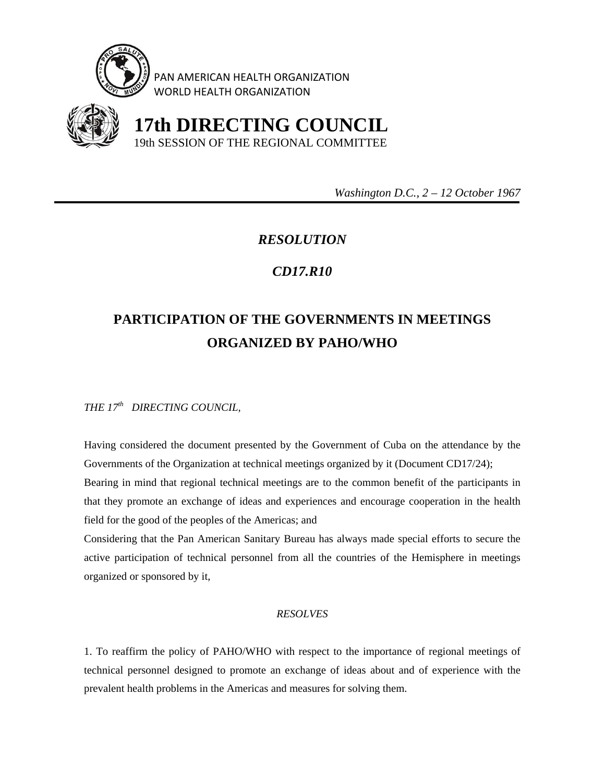

PAN AMERICAN HEALTH ORGANIZATION WORLD HEALTH ORGANIZATION



 **17th DIRECTING COUNCIL** 19th SESSION OF THE REGIONAL COMMITTEE

 *Washington D.C., 2 – 12 October 1967* 

## *RESOLUTION*

## *CD17.R10*

## **PARTICIPATION OF THE GOVERNMENTS IN MEETINGS ORGANIZED BY PAHO/WHO**

*THE 17th DIRECTING COUNCIL,* 

Having considered the document presented by the Government of Cuba on the attendance by the Governments of the Organization at technical meetings organized by it (Document CD17/24); Bearing in mind that regional technical meetings are to the common benefit of the participants in that they promote an exchange of ideas and experiences and encourage cooperation in the health field for the good of the peoples of the Americas; and

Considering that the Pan American Sanitary Bureau has always made special efforts to secure the active participation of technical personnel from all the countries of the Hemisphere in meetings organized or sponsored by it,

## *RESOLVES*

1. To reaffirm the policy of PAHO/WHO with respect to the importance of regional meetings of technical personnel designed to promote an exchange of ideas about and of experience with the prevalent health problems in the Americas and measures for solving them.